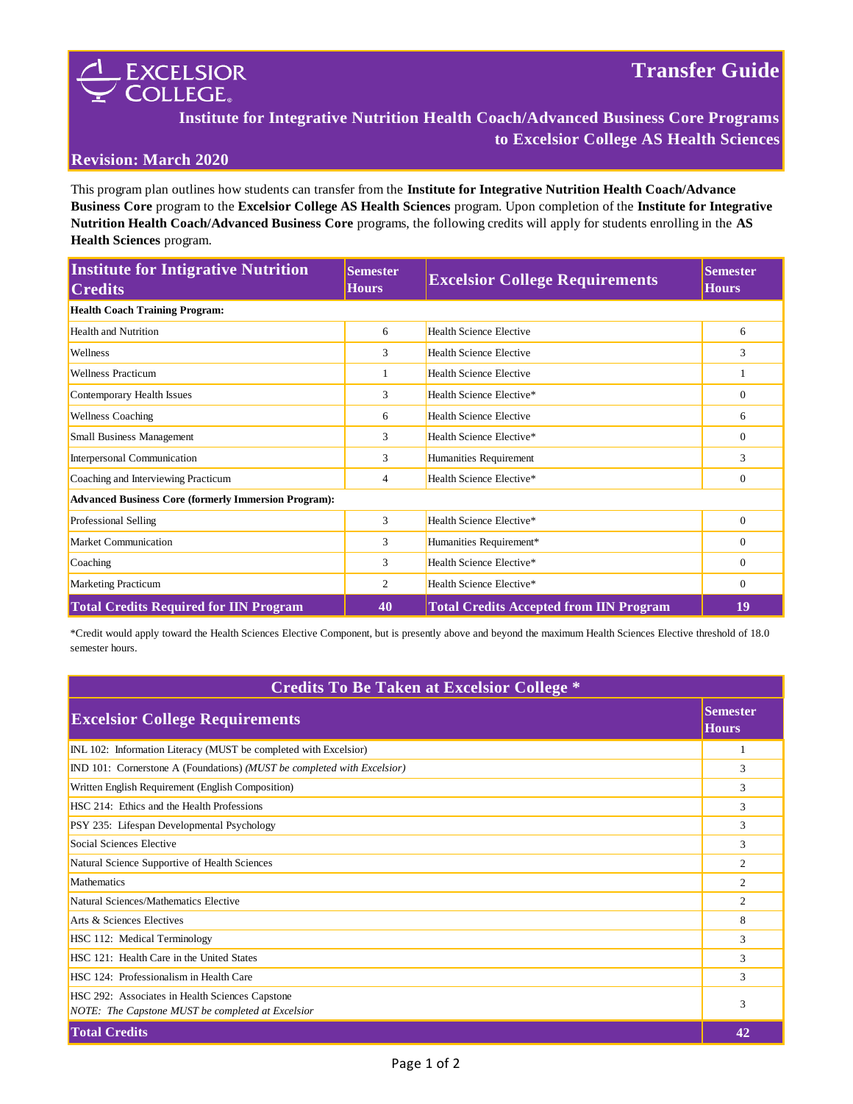



# **Institute for Integrative Nutrition Health Coach/Advanced Business Core Programs to Excelsior College AS Health Sciences**

### **Revision: March 2020**

This program plan outlines how students can transfer from the **Institute for Integrative Nutrition Health Coach/Advance Business Core** program to the **Excelsior College AS Health Sciences** program. Upon completion of the **Institute for Integrative Nutrition Health Coach/Advanced Business Core** programs, the following credits will apply for students enrolling in the **AS Health Sciences** program.

| <b>Institute for Intigrative Nutrition</b><br><b>Credits</b> | <b>Semester</b><br><b>Hours</b> | <b>Excelsior College Requirements</b>          | <b>Semester</b><br><b>Hours</b> |  |  |
|--------------------------------------------------------------|---------------------------------|------------------------------------------------|---------------------------------|--|--|
| <b>Health Coach Training Program:</b>                        |                                 |                                                |                                 |  |  |
| <b>Health and Nutrition</b>                                  | 6                               | <b>Health Science Elective</b>                 | 6                               |  |  |
| Wellness                                                     | 3                               | <b>Health Science Elective</b>                 | 3                               |  |  |
| <b>Wellness Practicum</b>                                    | 1                               | <b>Health Science Elective</b>                 |                                 |  |  |
| Contemporary Health Issues                                   | 3                               | Health Science Elective*                       | $\Omega$                        |  |  |
| <b>Wellness Coaching</b>                                     | 6                               | <b>Health Science Elective</b>                 | 6                               |  |  |
| <b>Small Business Management</b>                             | 3                               | Health Science Elective*                       | $\Omega$                        |  |  |
| Interpersonal Communication                                  | 3                               | Humanities Requirement                         | 3                               |  |  |
| Coaching and Interviewing Practicum                          | 4                               | Health Science Elective*                       | $\mathbf{0}$                    |  |  |
| <b>Advanced Business Core (formerly Immersion Program):</b>  |                                 |                                                |                                 |  |  |
| Professional Selling                                         | 3                               | Health Science Elective*                       | $\theta$                        |  |  |
| <b>Market Communication</b>                                  | 3                               | Humanities Requirement*                        | $\Omega$                        |  |  |
| Coaching                                                     | 3                               | Health Science Elective*                       | $\mathbf{0}$                    |  |  |
| <b>Marketing Practicum</b>                                   | 2                               | Health Science Elective*                       | $\mathbf{0}$                    |  |  |
| <b>Total Credits Required for IIN Program</b>                | 40                              | <b>Total Credits Accepted from IIN Program</b> | 19                              |  |  |

\*Credit would apply toward the Health Sciences Elective Component, but is presently above and beyond the maximum Health Sciences Elective threshold of 18.0 semester hours.

|--|

| <b>Excelsior College Requirements</b>                                                                | <b>Semester</b><br><b>Hours</b> |
|------------------------------------------------------------------------------------------------------|---------------------------------|
| INL 102: Information Literacy (MUST be completed with Excelsior)                                     | H                               |
| IND 101: Cornerstone A (Foundations) (MUST be completed with Excelsior)                              | 3                               |
| Written English Requirement (English Composition)                                                    | 3                               |
| HSC 214: Ethics and the Health Professions                                                           | 3                               |
| PSY 235: Lifespan Developmental Psychology                                                           | 3                               |
| Social Sciences Elective                                                                             | 3                               |
| Natural Science Supportive of Health Sciences                                                        | $\overline{2}$                  |
| <b>Mathematics</b>                                                                                   | $\overline{2}$                  |
| Natural Sciences/Mathematics Elective                                                                | $\overline{2}$                  |
| Arts & Sciences Electives                                                                            | 8                               |
| HSC 112: Medical Terminology                                                                         | 3                               |
| HSC 121: Health Care in the United States                                                            | 3                               |
| HSC 124: Professionalism in Health Care                                                              | 3                               |
| HSC 292: Associates in Health Sciences Capstone<br>NOTE: The Capstone MUST be completed at Excelsior | 3                               |
| <b>Total Credits</b>                                                                                 | 42                              |